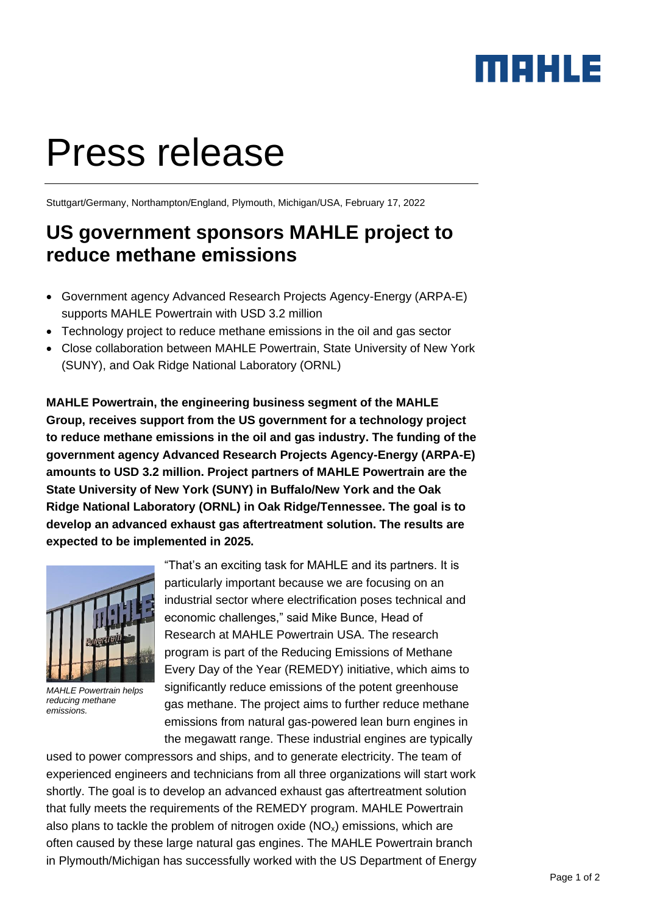## MAHLE

# Press release

Stuttgart/Germany, Northampton/England, Plymouth, Michigan/USA, February 17, 2022

## **US government sponsors MAHLE project to reduce methane emissions**

- Government agency Advanced Research Projects Agency-Energy (ARPA-E) supports MAHLE Powertrain with USD 3.2 million
- Technology project to reduce methane emissions in the oil and gas sector
- Close collaboration between MAHLE Powertrain, State University of New York (SUNY), and Oak Ridge National Laboratory (ORNL)

**MAHLE Powertrain, the engineering business segment of the MAHLE Group, receives support from the US government for a technology project to reduce methane emissions in the oil and gas industry. The funding of the government agency Advanced Research Projects Agency-Energy (ARPA-E) amounts to USD 3.2 million. Project partners of MAHLE Powertrain are the State University of New York (SUNY) in Buffalo/New York and the Oak Ridge National Laboratory (ORNL) in Oak Ridge/Tennessee. The goal is to develop an advanced exhaust gas aftertreatment solution. The results are expected to be implemented in 2025.**



*MAHLE Powertrain helps reducing methane emissions.*

"That's an exciting task for MAHLE and its partners. It is particularly important because we are focusing on an industrial sector where electrification poses technical and economic challenges," said Mike Bunce, Head of Research at MAHLE Powertrain USA. The research program is part of the Reducing Emissions of Methane Every Day of the Year (REMEDY) initiative, which aims to significantly reduce emissions of the potent greenhouse gas methane. The project aims to further reduce methane emissions from natural gas-powered lean burn engines in the megawatt range. These industrial engines are typically

used to power compressors and ships, and to generate electricity. The team of experienced engineers and technicians from all three organizations will start work shortly. The goal is to develop an advanced exhaust gas aftertreatment solution that fully meets the requirements of the REMEDY program. MAHLE Powertrain also plans to tackle the problem of nitrogen oxide  $(NO_x)$  emissions, which are often caused by these large natural gas engines. The MAHLE Powertrain branch in Plymouth/Michigan has successfully worked with the US Department of Energy